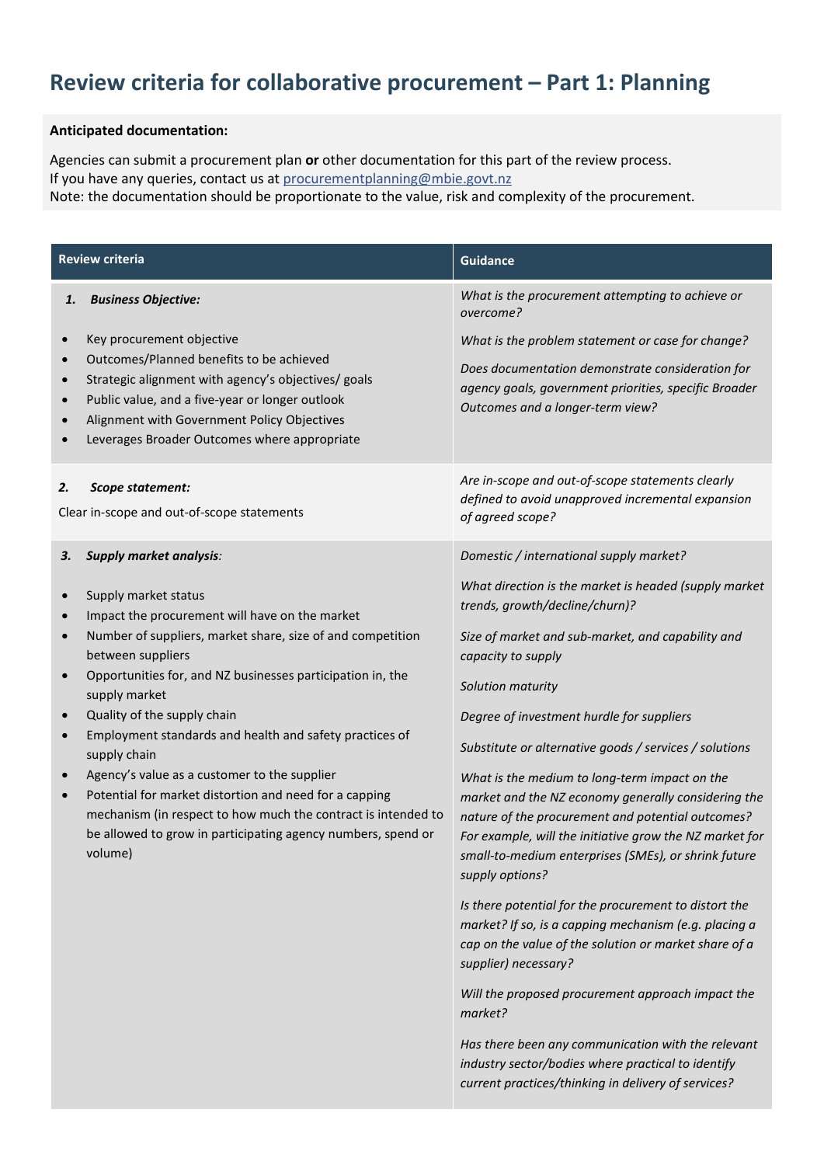## **Review criteria for collaborative procurement – Part 1: Planning**

## **Anticipated documentation:**

Agencies can submit a procurement plan **or** other documentation for this part of the review process. If you have any queries, contact us at procurementplanning@mbie.govt.nz Note: the documentation should be proportionate to the value, risk and complexity of the procurement.

| <b>Review criteria</b>                                                                                                                                                                                                                                                                                                                                                                                                                                                                                                                                                                                                                                                                                                                                   | <b>Guidance</b>                                                                                                                                                                                                                                                                                                                                                                                                                                                                                                                                                                                                                                                                                                                                                                                                                                                                                                                                                                                                                                                                    |
|----------------------------------------------------------------------------------------------------------------------------------------------------------------------------------------------------------------------------------------------------------------------------------------------------------------------------------------------------------------------------------------------------------------------------------------------------------------------------------------------------------------------------------------------------------------------------------------------------------------------------------------------------------------------------------------------------------------------------------------------------------|------------------------------------------------------------------------------------------------------------------------------------------------------------------------------------------------------------------------------------------------------------------------------------------------------------------------------------------------------------------------------------------------------------------------------------------------------------------------------------------------------------------------------------------------------------------------------------------------------------------------------------------------------------------------------------------------------------------------------------------------------------------------------------------------------------------------------------------------------------------------------------------------------------------------------------------------------------------------------------------------------------------------------------------------------------------------------------|
| <b>Business Objective:</b><br>1.<br>Key procurement objective<br>$\bullet$<br>Outcomes/Planned benefits to be achieved<br>$\bullet$<br>Strategic alignment with agency's objectives/ goals<br>$\bullet$<br>Public value, and a five-year or longer outlook<br>$\bullet$<br>Alignment with Government Policy Objectives<br>Leverages Broader Outcomes where appropriate                                                                                                                                                                                                                                                                                                                                                                                   | What is the procurement attempting to achieve or<br>overcome?<br>What is the problem statement or case for change?<br>Does documentation demonstrate consideration for<br>agency goals, government priorities, specific Broader<br>Outcomes and a longer-term view?                                                                                                                                                                                                                                                                                                                                                                                                                                                                                                                                                                                                                                                                                                                                                                                                                |
| 2.<br>Scope statement:<br>Clear in-scope and out-of-scope statements                                                                                                                                                                                                                                                                                                                                                                                                                                                                                                                                                                                                                                                                                     | Are in-scope and out-of-scope statements clearly<br>defined to avoid unapproved incremental expansion<br>of agreed scope?                                                                                                                                                                                                                                                                                                                                                                                                                                                                                                                                                                                                                                                                                                                                                                                                                                                                                                                                                          |
| <b>Supply market analysis:</b><br>З.<br>Supply market status<br>$\bullet$<br>Impact the procurement will have on the market<br>$\bullet$<br>Number of suppliers, market share, size of and competition<br>$\bullet$<br>between suppliers<br>Opportunities for, and NZ businesses participation in, the<br>$\bullet$<br>supply market<br>Quality of the supply chain<br>$\bullet$<br>Employment standards and health and safety practices of<br>$\bullet$<br>supply chain<br>Agency's value as a customer to the supplier<br>$\bullet$<br>Potential for market distortion and need for a capping<br>$\bullet$<br>mechanism (in respect to how much the contract is intended to<br>be allowed to grow in participating agency numbers, spend or<br>volume) | Domestic / international supply market?<br>What direction is the market is headed (supply market<br>trends, growth/decline/churn)?<br>Size of market and sub-market, and capability and<br>capacity to supply<br>Solution maturity<br>Degree of investment hurdle for suppliers<br>Substitute or alternative goods / services / solutions<br>What is the medium to long-term impact on the<br>market and the NZ economy generally considering the<br>nature of the procurement and potential outcomes?<br>For example, will the initiative grow the NZ market for<br>small-to-medium enterprises (SMEs), or shrink future<br>supply options?<br>Is there potential for the procurement to distort the<br>market? If so, is a capping mechanism (e.g. placing a<br>cap on the value of the solution or market share of a<br>supplier) necessary?<br>Will the proposed procurement approach impact the<br>market?<br>Has there been any communication with the relevant<br>industry sector/bodies where practical to identify<br>current practices/thinking in delivery of services? |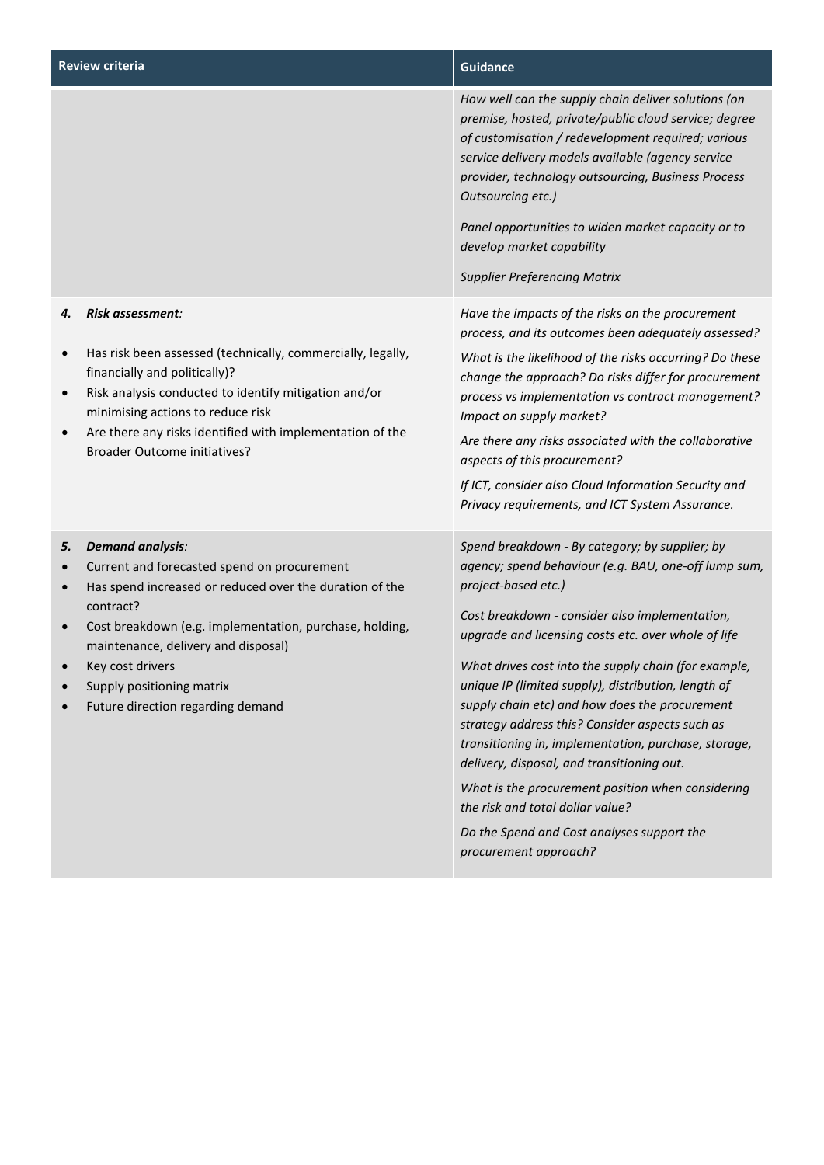| <b>Review criteria</b> |                                                                                                                                                                                                                                                                                                                                        | <b>Guidance</b>                                                                                                                                                                                                                                                                                                                                                                                                                                                                                                                                                                                                                                                                                                                  |
|------------------------|----------------------------------------------------------------------------------------------------------------------------------------------------------------------------------------------------------------------------------------------------------------------------------------------------------------------------------------|----------------------------------------------------------------------------------------------------------------------------------------------------------------------------------------------------------------------------------------------------------------------------------------------------------------------------------------------------------------------------------------------------------------------------------------------------------------------------------------------------------------------------------------------------------------------------------------------------------------------------------------------------------------------------------------------------------------------------------|
|                        |                                                                                                                                                                                                                                                                                                                                        | How well can the supply chain deliver solutions (on<br>premise, hosted, private/public cloud service; degree<br>of customisation / redevelopment required; various<br>service delivery models available (agency service<br>provider, technology outsourcing, Business Process<br>Outsourcing etc.)<br>Panel opportunities to widen market capacity or to<br>develop market capability<br><b>Supplier Preferencing Matrix</b>                                                                                                                                                                                                                                                                                                     |
| 4.<br>$\bullet$        | Risk assessment:<br>Has risk been assessed (technically, commercially, legally,<br>financially and politically)?<br>Risk analysis conducted to identify mitigation and/or<br>minimising actions to reduce risk<br>Are there any risks identified with implementation of the<br><b>Broader Outcome initiatives?</b>                     | Have the impacts of the risks on the procurement<br>process, and its outcomes been adequately assessed?<br>What is the likelihood of the risks occurring? Do these<br>change the approach? Do risks differ for procurement<br>process vs implementation vs contract management?<br>Impact on supply market?<br>Are there any risks associated with the collaborative<br>aspects of this procurement?<br>If ICT, consider also Cloud Information Security and<br>Privacy requirements, and ICT System Assurance.                                                                                                                                                                                                                  |
| 5.<br>$\bullet$        | <b>Demand analysis:</b><br>Current and forecasted spend on procurement<br>Has spend increased or reduced over the duration of the<br>contract?<br>Cost breakdown (e.g. implementation, purchase, holding,<br>maintenance, delivery and disposal)<br>Key cost drivers<br>Supply positioning matrix<br>Future direction regarding demand | Spend breakdown - By category; by supplier; by<br>agency; spend behaviour (e.g. BAU, one-off lump sum,<br>project-based etc.)<br>Cost breakdown - consider also implementation,<br>upgrade and licensing costs etc. over whole of life<br>What drives cost into the supply chain (for example,<br>unique IP (limited supply), distribution, length of<br>supply chain etc) and how does the procurement<br>strategy address this? Consider aspects such as<br>transitioning in, implementation, purchase, storage,<br>delivery, disposal, and transitioning out.<br>What is the procurement position when considering<br>the risk and total dollar value?<br>Do the Spend and Cost analyses support the<br>procurement approach? |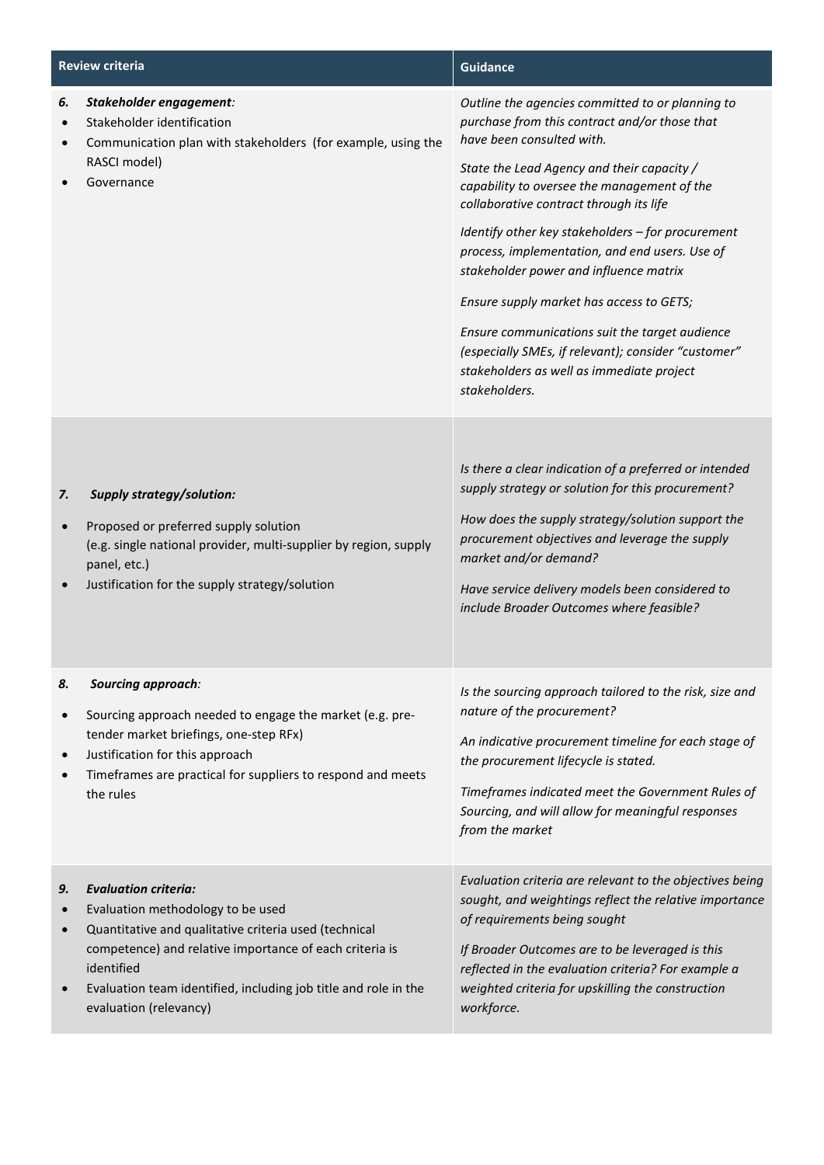| <b>Review criteria</b>       |                                                                                                                                                                                                                                                                                                 | <b>Guidance</b>                                                                                                                                                                                                                                                                                                                                                                                                                                                                                                                                                                                                                            |
|------------------------------|-------------------------------------------------------------------------------------------------------------------------------------------------------------------------------------------------------------------------------------------------------------------------------------------------|--------------------------------------------------------------------------------------------------------------------------------------------------------------------------------------------------------------------------------------------------------------------------------------------------------------------------------------------------------------------------------------------------------------------------------------------------------------------------------------------------------------------------------------------------------------------------------------------------------------------------------------------|
| 6.<br>$\bullet$              | Stakeholder engagement:<br>Stakeholder identification<br>Communication plan with stakeholders (for example, using the<br>RASCI model)<br>Governance                                                                                                                                             | Outline the agencies committed to or planning to<br>purchase from this contract and/or those that<br>have been consulted with.<br>State the Lead Agency and their capacity /<br>capability to oversee the management of the<br>collaborative contract through its life<br>Identify other key stakeholders - for procurement<br>process, implementation, and end users. Use of<br>stakeholder power and influence matrix<br>Ensure supply market has access to GETS;<br>Ensure communications suit the target audience<br>(especially SMEs, if relevant); consider "customer"<br>stakeholders as well as immediate project<br>stakeholders. |
| 7.<br>$\bullet$              | <b>Supply strategy/solution:</b><br>Proposed or preferred supply solution<br>(e.g. single national provider, multi-supplier by region, supply<br>panel, etc.)<br>Justification for the supply strategy/solution                                                                                 | Is there a clear indication of a preferred or intended<br>supply strategy or solution for this procurement?<br>How does the supply strategy/solution support the<br>procurement objectives and leverage the supply<br>market and/or demand?<br>Have service delivery models been considered to<br>include Broader Outcomes where feasible?                                                                                                                                                                                                                                                                                                 |
| 8.<br>$\bullet$<br>$\bullet$ | Sourcing approach:<br>Sourcing approach needed to engage the market (e.g. pre-<br>tender market briefings, one-step RFx)<br>Justification for this approach<br>Timeframes are practical for suppliers to respond and meets<br>the rules                                                         | Is the sourcing approach tailored to the risk, size and<br>nature of the procurement?<br>An indicative procurement timeline for each stage of<br>the procurement lifecycle is stated.<br>Timeframes indicated meet the Government Rules of<br>Sourcing, and will allow for meaningful responses<br>from the market                                                                                                                                                                                                                                                                                                                         |
| 9.<br>$\bullet$<br>$\bullet$ | <b>Evaluation criteria:</b><br>Evaluation methodology to be used<br>Quantitative and qualitative criteria used (technical<br>competence) and relative importance of each criteria is<br>identified<br>Evaluation team identified, including job title and role in the<br>evaluation (relevancy) | Evaluation criteria are relevant to the objectives being<br>sought, and weightings reflect the relative importance<br>of requirements being sought<br>If Broader Outcomes are to be leveraged is this<br>reflected in the evaluation criteria? For example a<br>weighted criteria for upskilling the construction<br>workforce.                                                                                                                                                                                                                                                                                                            |